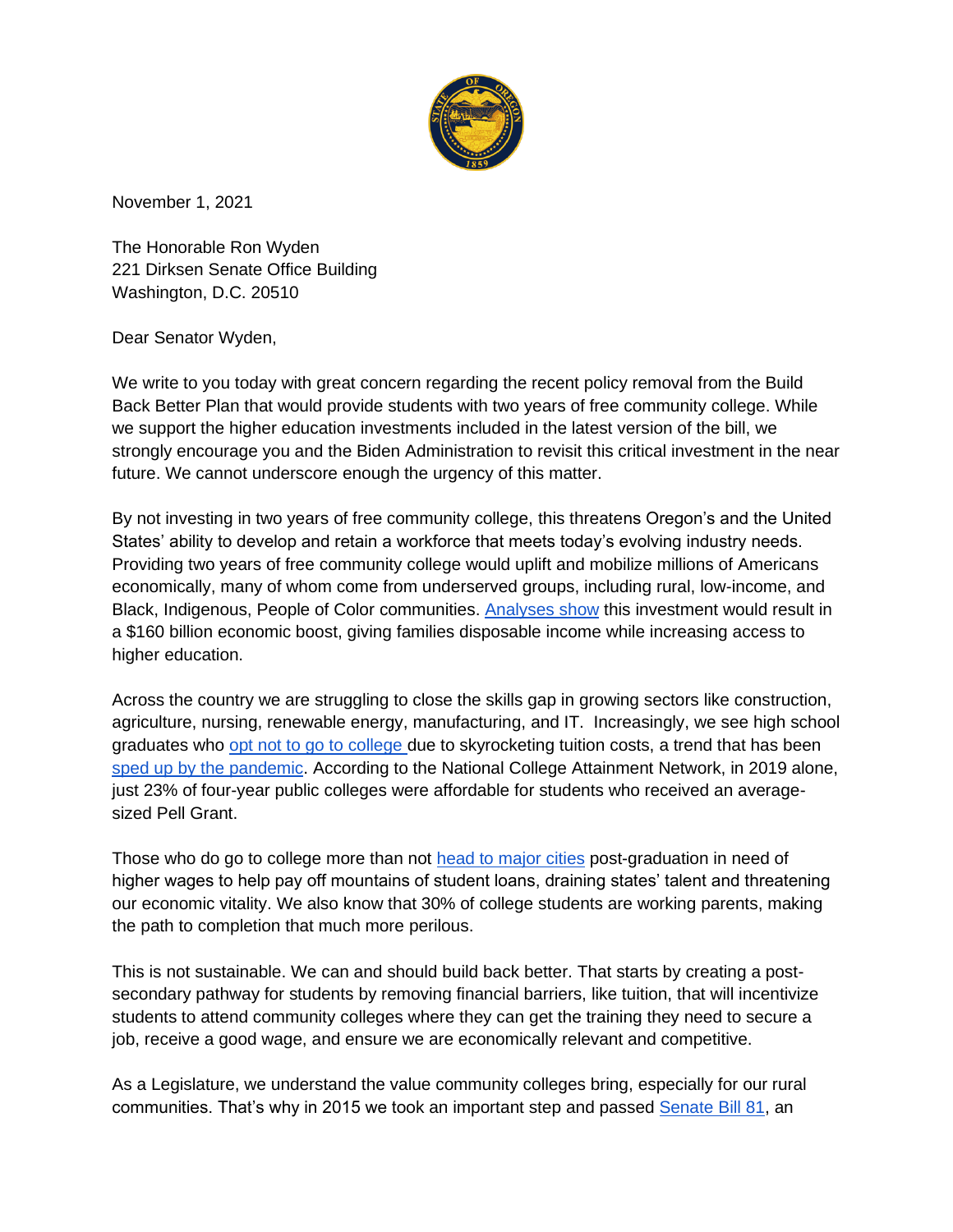

November 1, 2021

The Honorable Ron Wyden 221 Dirksen Senate Office Building Washington, D.C. 20510

Dear Senator Wyden,

We write to you today with great concern regarding the recent policy removal from the Build Back Better Plan that would provide students with two years of free community college. While we support the higher education investments included in the latest version of the bill, we strongly encourage you and the Biden Administration to revisit this critical investment in the near future. We cannot underscore enough the urgency of this matter.

By not investing in two years of free community college, this threatens Oregon's and the United States' ability to develop and retain a workforce that meets today's evolving industry needs. Providing two years of free community college would uplift and mobilize millions of Americans economically, many of whom come from underserved groups, including rural, low-income, and Black, Indigenous, People of Color communities. [Analyses show](https://www.marketwatch.com/story/bidens-free-college-proposals-could-boost-economy-by-160-billion-critics-say-it-would-cost-600-billion-11611250984) this investment would result in a \$160 billion economic boost, giving families disposable income while increasing access to higher education.

Across the country we are struggling to close the skills gap in growing sectors like construction, agriculture, nursing, renewable energy, manufacturing, and IT. Increasingly, we see high school graduates who [opt not to go to college d](https://www.cnbc.com/2021/03/14/fewer-kids-going-to-college-because-of-cost.html)ue to skyrocketing tuition costs, a trend that has been [sped up by the pandemic.](https://www.npr.org/2021/10/26/1048955023/college-enrollment-down-pandemic-economy) According to the National College Attainment Network, in 2019 alone, just 23% of four-year public colleges were affordable for students who received an averagesized Pell Grant.

Those who do go to college more than not [head to major cities](https://www.wsj.com/graphics/where-graduates-move-after-college/#goSearch) post-graduation in need of higher wages to help pay off mountains of student loans, draining states' talent and threatening our economic vitality. We also know that 30% of college students are working parents, making the path to completion that much more perilous.

This is not sustainable. We can and should build back better. That starts by creating a postsecondary pathway for students by removing financial barriers, like tuition, that will incentivize students to attend community colleges where they can get the training they need to secure a job, receive a good wage, and ensure we are economically relevant and competitive.

As a Legislature, we understand the value community colleges bring, especially for our rural communities. That's why in 2015 we took an important step and passed [Senate Bill 81,](https://olis.oregonlegislature.gov/liz/2015R1/Downloads/MeasureDocument/SB81/Enrolled) an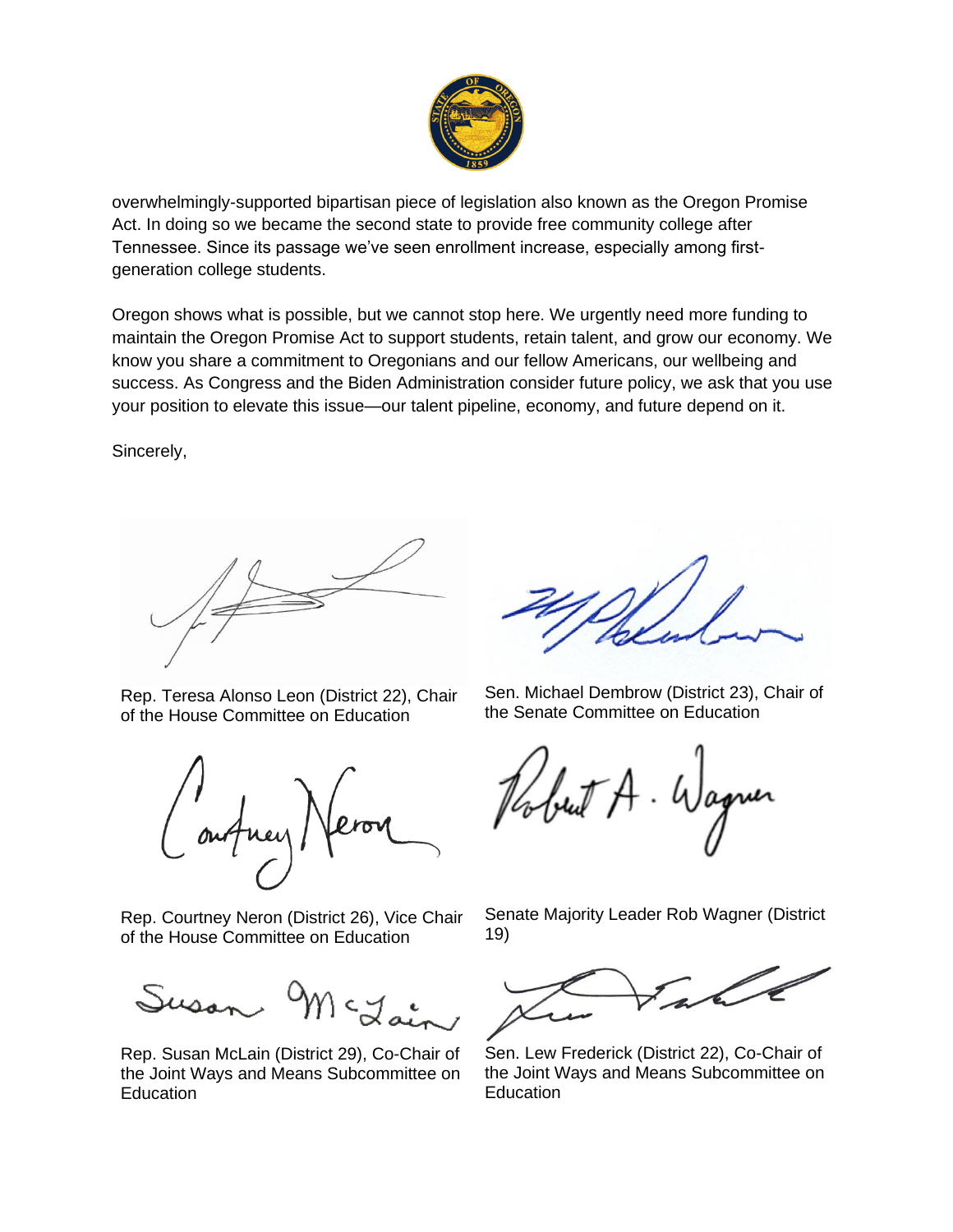

overwhelmingly-supported bipartisan piece of legislation also known as the Oregon Promise Act. In doing so we became the second state to provide free community college after Tennessee. Since its passage we've seen enrollment increase, especially among firstgeneration college students.

Oregon shows what is possible, but we cannot stop here. We urgently need more funding to maintain the Oregon Promise Act to support students, retain talent, and grow our economy. We know you share a commitment to Oregonians and our fellow Americans, our wellbeing and success. As Congress and the Biden Administration consider future policy, we ask that you use your position to elevate this issue—our talent pipeline, economy, and future depend on it.

Sincerely,

Rep. Teresa Alonso Leon (District 22), Chair of the House Committee on Education

Rep. Courtney Neron (District 26), Vice Chair of the House Committee on Education

Susan,

Rep. Susan McLain (District 29), Co-Chair of the Joint Ways and Means Subcommittee on Education

Sen. Michael Dembrow (District 23), Chair of the Senate Committee on Education

but A. Wagner

Senate Majority Leader Rob Wagner (District 19)



Sen. Lew Frederick (District 22), Co-Chair of the Joint Ways and Means Subcommittee on **Education**